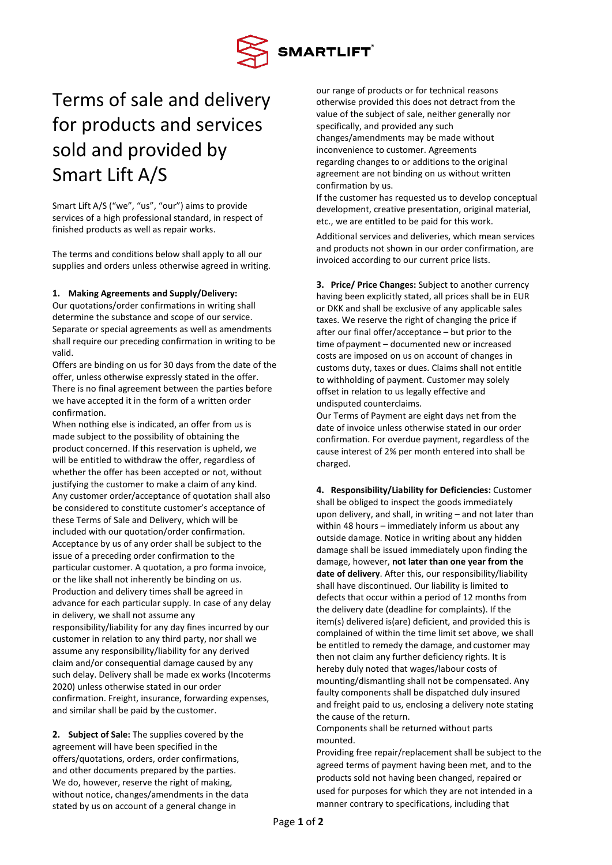

## Terms of sale and delivery for products and services sold and provided by Smart Lift A/S

Smart Lift A/S ("we", "us", "our") aims to provide services of a high professional standard, in respect of finished products as well as repair works.

The terms and conditions below shall apply to all our supplies and orders unless otherwise agreed in writing.

## **1. Making Agreements and Supply/Delivery:**

Our quotations/order confirmations in writing shall determine the substance and scope of our service. Separate or special agreements as well as amendments shall require our preceding confirmation in writing to be valid.

Offers are binding on us for 30 days from the date of the offer, unless otherwise expressly stated in the offer. There is no final agreement between the parties before we have accepted it in the form of a written order confirmation.

When nothing else is indicated, an offer from us is made subject to the possibility of obtaining the product concerned. If this reservation is upheld, we will be entitled to withdraw the offer, regardless of whether the offer has been accepted or not, without justifying the customer to make a claim of any kind. Any customer order/acceptance of quotation shall also be considered to constitute customer's acceptance of these Terms of Sale and Delivery, which will be included with our quotation/order confirmation. Acceptance by us of any order shall be subject to the issue of a preceding order confirmation to the particular customer. A quotation, a pro forma invoice, or the like shall not inherently be binding on us. Production and delivery times shall be agreed in advance for each particular supply. In case of any delay in delivery, we shall not assume any responsibility/liability for any day fines incurred by our customer in relation to any third party, nor shall we assume any responsibility/liability for any derived claim and/or consequential damage caused by any such delay. Delivery shall be made ex works (Incoterms 2020) unless otherwise stated in our order confirmation. Freight, insurance, forwarding expenses, and similar shall be paid by the customer.

**2. Subject of Sale:** The supplies covered by the agreement will have been specified in the offers/quotations, orders, order confirmations, and other documents prepared by the parties. We do, however, reserve the right of making, without notice, changes/amendments in the data stated by us on account of a general change in

our range of products or for technical reasons otherwise provided this does not detract from the value of the subject of sale, neither generally nor specifically, and provided any such changes/amendments may be made without inconvenience to customer. Agreements regarding changes to or additions to the original agreement are not binding on us without written confirmation by us.

If the customer has requested us to develop conceptual development, creative presentation, original material, etc., we are entitled to be paid for this work.

Additional services and deliveries, which mean services and products not shown in our order confirmation, are invoiced according to our current price lists.

**3. Price/ Price Changes:** Subject to another currency having been explicitly stated, all prices shall be in EUR or DKK and shall be exclusive of any applicable sales taxes. We reserve the right of changing the price if after our final offer/acceptance – but prior to the time ofpayment – documented new or increased costs are imposed on us on account of changes in customs duty, taxes or dues. Claims shall not entitle to withholding of payment. Customer may solely offset in relation to us legally effective and undisputed counterclaims.

Our Terms of Payment are eight days net from the date of invoice unless otherwise stated in our order confirmation. For overdue payment, regardless of the cause interest of 2% per month entered into shall be charged.

**4. Responsibility/Liability for Deficiencies:** Customer shall be obliged to inspect the goods immediately upon delivery, and shall, in writing – and not later than within 48 hours – immediately inform us about any outside damage. Notice in writing about any hidden damage shall be issued immediately upon finding the damage, however, **not later than one year from the date of delivery**. After this, our responsibility/liability shall have discontinued. Our liability is limited to defects that occur within a period of 12 months from the delivery date (deadline for complaints). If the item(s) delivered is(are) deficient, and provided this is complained of within the time limit set above, we shall be entitled to remedy the damage, and customer may then not claim any further deficiency rights. It is hereby duly noted that wages/labour costs of mounting/dismantling shall not be compensated. Any faulty components shall be dispatched duly insured and freight paid to us, enclosing a delivery note stating the cause of the return.

Components shall be returned without parts mounted.

Providing free repair/replacement shall be subject to the agreed terms of payment having been met, and to the products sold not having been changed, repaired or used for purposes for which they are not intended in a manner contrary to specifications, including that